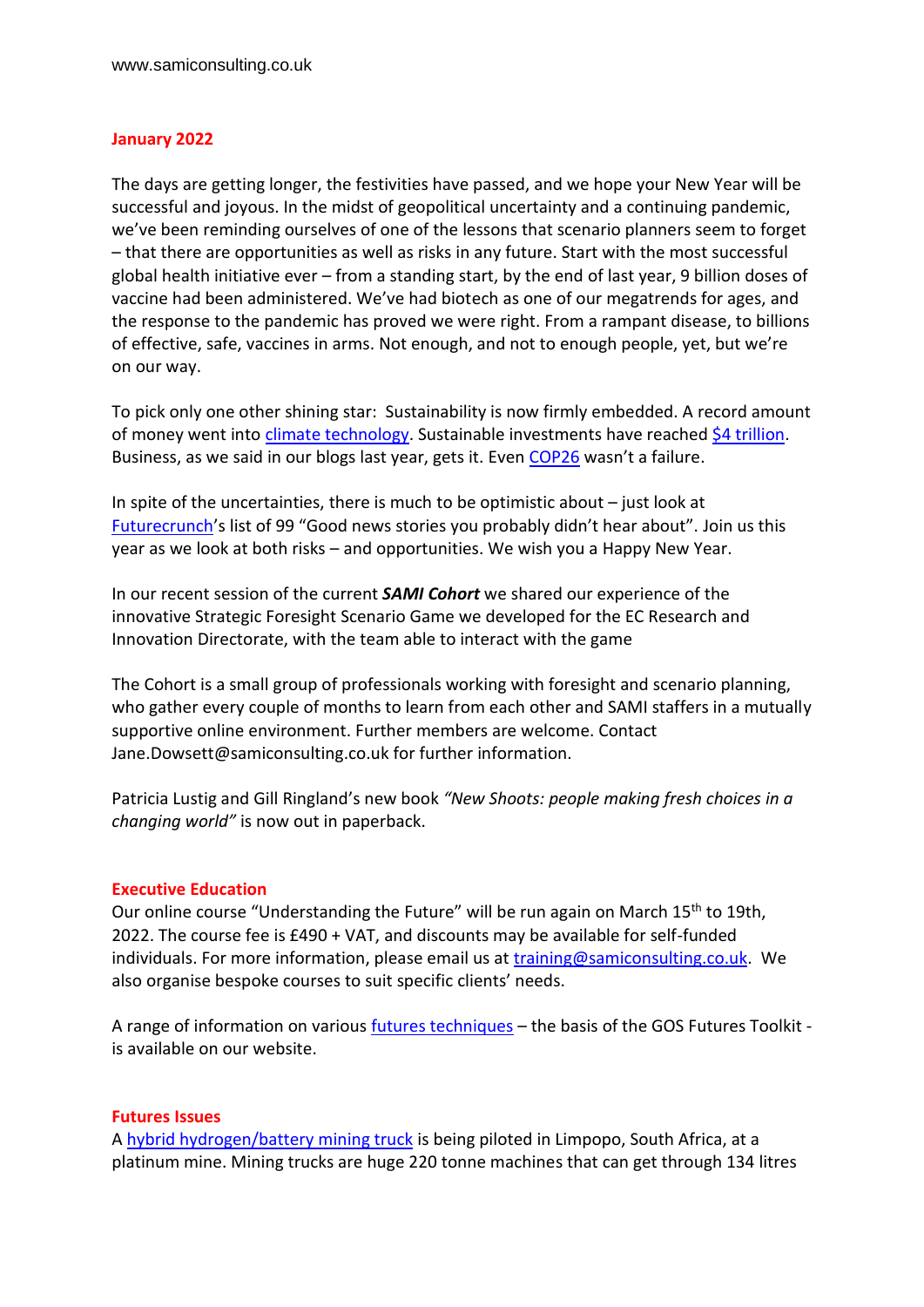## **January 2022**

The days are getting longer, the festivities have passed, and we hope your New Year will be successful and joyous. In the midst of geopolitical uncertainty and a continuing pandemic, we've been reminding ourselves of one of the lessons that scenario planners seem to forget – that there are opportunities as well as risks in any future. Start with the most successful global health initiative ever – from a standing start, by the end of last year, 9 billion doses of vaccine had been administered. We've had biotech as one of our megatrends for ages, and the response to the pandemic has proved we were right. From a rampant disease, to billions of effective, safe, vaccines in arms. Not enough, and not to enough people, yet, but we're on our way.

To pick only one other shining star: Sustainability is now firmly embedded. A record amount of money went int[o climate technology.](https://www.bloomberg.com/news/articles/2021-07-29/record-money-is-flowing-into-climate-tech-what-next) Sustainable investments have reached [\\$4 trillion.](https://www.blackrock.com/corporate/investor-relations/larry-fink-ceo-letter) Business, as we said in our blogs last year, gets it. Even [COP26](https://ukcop26.org/) wasn't a failure.

In spite of the uncertainties, there is much to be optimistic about – just look at [Futurecrunch](https://medium.com/future-crunch/99-goodnews-2021-2492e4fcacfb)'s list of 99 "Good news stories you probably didn't hear about". Join us this year as we look at both risks – and opportunities. We wish you a Happy New Year.

In our recent session of the current *SAMI Cohort* we shared our experience of the innovative Strategic Foresight Scenario Game we developed for the EC Research and Innovation Directorate, with the team able to interact with the game

The Cohort is a small group of professionals working with foresight and scenario planning, who gather every couple of months to learn from each other and SAMI staffers in a mutually supportive online environment. Further members are welcome. Contact Jane.Dowsett@samiconsulting.co.uk for further information.

Patricia Lustig and Gill Ringland's new book *"New Shoots: people making fresh choices in a changing world"* is now out in paperback.

## **Executive Education**

Our online course "Understanding the Future" will be run again on March 15<sup>th</sup> to 19th, 2022. The course fee is £490 + VAT, and discounts may be available for self-funded individuals. For more information, please email us at [training@samiconsulting.co.uk.](mailto:training@samiconsulting.co.uk) We also organise bespoke courses to suit specific clients' needs.

A range of information on various [futures techniques](https://samiconsulting.co.uk/techniques/) – the basis of the GOS Futures Toolkit is available on our website.

## **Futures Issues**

A [hybrid hydrogen/battery mining truck](https://www.bbc.co.uk/news/business-59576867) is being piloted in Limpopo, South Africa, at a platinum mine. Mining trucks are huge 220 tonne machines that can get through 134 litres